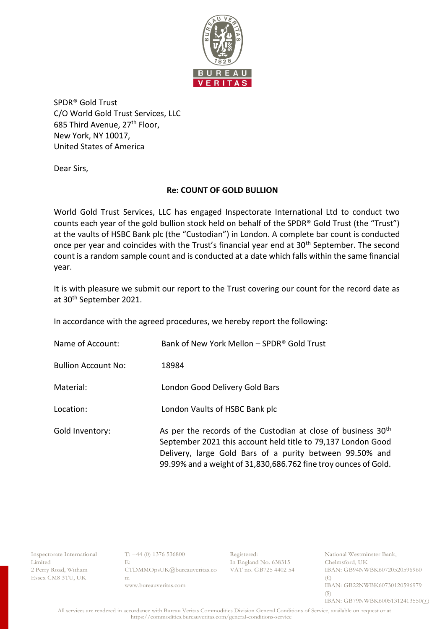

SPDR® Gold Trust C/O World Gold Trust Services, LLC 685 Third Avenue, 27th Floor, New York, NY 10017, United States of America

Dear Sirs,

## **Re: COUNT OF GOLD BULLION**

World Gold Trust Services, LLC has engaged Inspectorate International Ltd to conduct two counts each year of the gold bullion stock held on behalf of the SPDR® Gold Trust (the "Trust") at the vaults of HSBC Bank plc (the "Custodian") in London. A complete bar count is conducted once per year and coincides with the Trust's financial year end at 30<sup>th</sup> September. The second count is a random sample count and is conducted at a date which falls within the same financial year.

It is with pleasure we submit our report to the Trust covering our count for the record date as at 30th September 2021.

In accordance with the agreed procedures, we hereby report the following:

| Name of Account:           | Bank of New York Mellon - SPDR® Gold Trust                                                                                                                                                                                                                               |
|----------------------------|--------------------------------------------------------------------------------------------------------------------------------------------------------------------------------------------------------------------------------------------------------------------------|
| <b>Bullion Account No:</b> | 18984                                                                                                                                                                                                                                                                    |
| Material:                  | London Good Delivery Gold Bars                                                                                                                                                                                                                                           |
| Location:                  | London Vaults of HSBC Bank plc                                                                                                                                                                                                                                           |
| Gold Inventory:            | As per the records of the Custodian at close of business 30 <sup>th</sup><br>September 2021 this account held title to 79,137 London Good<br>Delivery, large Gold Bars of a purity between 99.50% and<br>99.99% and a weight of 31,830,686.762 fine troy ounces of Gold. |

Inspectorate International Limited 2 Perry Road, Witham Essex CM8 3TU, UK

 $T: +44(0)$  1376 536800 E: CTDMMOpsUK@bureauveritas.co m www.bureauveritas.com

Registered: In England No. 638315 VAT no. GB725 4402 54 National Westminster Bank, Chelmsford, UK IBAN: GB94NWBK60720520596960 (€) IBAN: GB22NWBK60730120596979 (\$) IBAN: GB79NWBK60051312413550(£)

 All services are rendered in accordance with Bureau Veritas Commodities Division General Conditions of Service, available on request or at https://commodities.bureauveritas.com/general-conditions-service